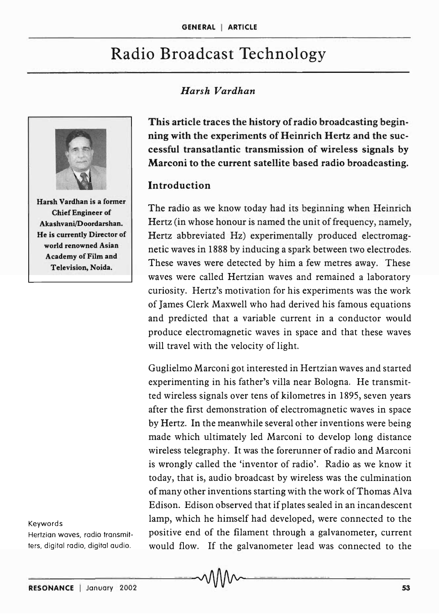# Radio Broadcast Technology

## *Harsh Vardhan*



Harsh Vardhan is a former Chief Engineer of Akashvani/Doordarshan. He is currently Director of world renowned Asian Academy of Film and Television, Noida.

# This article traces the history of radio broadcasting beginning with the experiments of Heinrich Hertz and the successful transatlantic transmission of wireless signals by Marconi to the current satellite based radio broadcasting.

#### Introduction

The radio as we know today had its beginning when Heinrich Hertz (in whose honour is named the unit of frequency, namely, Hertz abbreviated Hz) experimentally produced electromagnetic waves in 1888 by inducing a spark between two electrodes. These waves were detected by him a few metres away. These waves were called Hertzian waves and remained a laboratory curiosity. Hertz's motivation for his experiments was the work of James Clerk Maxwell who had derived his famous equations and predicted that a variable current in a conductor would produce electromagnetic waves in space and that these waves will travel with the velocity of light.

Guglielmo Marconi got interested in Hertzian waves and started experimenting in his father's villa near Bologna. He transmitted wireless signals over tens of kilometres in 1895, seven years after the first demonstration of electromagnetic waves in space by Hertz. In the meanwhile several other inventions were being made which ultimately led Marconi to develop long distance wireless telegraphy. It was the forerunner of radio and Marconi is wrongly called the 'inventor of radio'. Radio as we know it today, that is, audio broadcast by wireless was the culmination of many other inventions starting with the work of Thomas Alva Edison. Edison observed that if plates sealed in an incandescent lamp, which he himself had developed, were connected to the positive end of the filament through a galvanometer, current would flow. If the galvanometer lead was connected to the

#### Keywords

Hertzian waves, radio transmitters, digital radio, digital audio.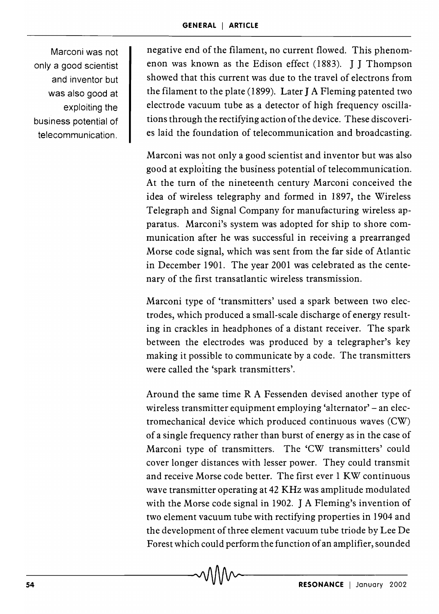Marconi was not only a good scientist and inventor but was also good at exploiting the business potential of telecommunication.

negative end of the filament, no current flowed. This phenomenon was known as the Edison effect (1883). J J Thompson showed that this current was due to the travel of electrons from the filament to the plate (1899). Later J A Fleming patented two electrode vacuum tube as a detector of high frequency oscillations through the rectifying action of the device. These discoveries laid the foundation of telecommunication and broadcasting.

Marconi was not only a good scientist and inventor but was also good at exploiting the business potential of telecommunication. At the turn of the nineteenth century Marconi conceived the idea of wireless telegraphy and formed in 1897, the Wireless Telegraph and Signal Company for manufacturing wireless apparatus. Marconi's system was adopted for ship to shore communication after he was successful in receiving a prearranged Morse code signal, which was sent from the far side of Atlantic in December 1901. The year 2001 was celebrated as the centenary of the first transatlantic wireless transmission.

Marconi type of 'transmitters' used a spark between two electrodes, which produced a small-scale discharge of energy resulting in crackles in headphones of a distant receiver. The spark between the electrodes was produced by a telegrapher's key making it possible to communicate by a code. The transmitters were called the 'spark transmitters'.

Around the same time R A Fessenden devised another type of wireless transmitter equipment employing 'alternator' - an electromechanical device which produced continuous waves (CW) of a single frequency rather than burst of energy as in the case of Marconi type of transmitters. The 'CW transmitters' could cover longer distances with lesser power. They could transmit and receive Morse code better. The first ever 1 KW continuous wave transmitter operating at 42 KHz was amplitude modulated with the Morse code signal in 1902. J A Fleming's invention of two element vacuum tube with rectifying properties in 1904 and the development of three element vacuum tube triode by Lee De Forest which could perform the function of an amplifier, sounded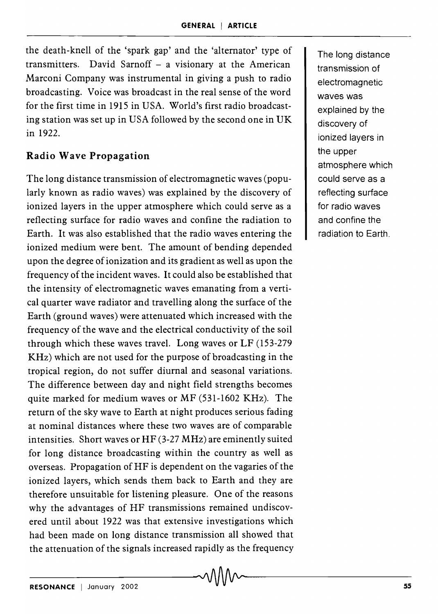the death-knell of the 'spark gap' and the 'alternator' type of transmitters. David Sarnoff  $-$  a visionary at the American Marconi Company was instrumental in giving a push to radio broadcas ting. Voice was broadcast in the real sense of the word for the first time in 1915 in USA. World's first radio broadcasting station was set up in USA followed by the second one in UK in 1922.

## **Radio Wave Propagation**

The long distance transmission of electromagnetic waves (popularly known as radio waves) was explained by the discovery of ionized layers in the upper atmosphere which could serve as a reflecting surface for radio waves and confine the radiation to Earth. It was also established that the radio waves entering the ionized medium were bent. The amount of bending depended upon the degree of ionization and its gradient as well as upon the frequency of the incident waves. It could also be established that the intensity of electromagnetic waves emanating from a vertical quarter wave radiator and travelling along the surface of the Earth (ground waves) were attenuated which increased with the frequency of the wave and the electrical conductivity of the soil through which these waves travel. Long waves or LF (153-279 KHz) which are not used for the purpose of broadcasting in the tropical region, do not suffer diurnal and seasonal variations. The difference between day and night field strengths becomes quite marked for medium waves or MF (531-1602 KHz). The return of the sky wave to Earth at night produces serious fading at nominal distances where these two waves are of comparable intensities. Short waves or HF (3-27 MHz) are eminently suited for long distance broadcasting within the country as well as overseas. Propagation of HF is dependent on the vagaries of the ionized layers, which sends them back to Earth and they are therefore unsuitable for listening pleasure. One of the reasons why the advantages of HF transmissions remained undiscovered until about 1922 was that extensive investigations which had been made on long distance transmission all showed that the attenuation of the signals increased rapidly as the frequency The long distance transmission of electromagnetic waves was explained by the discovery of ionized layers in the upper atmosphere which could serve as a reflecting surface for radio waves and confine the radiation to Earth.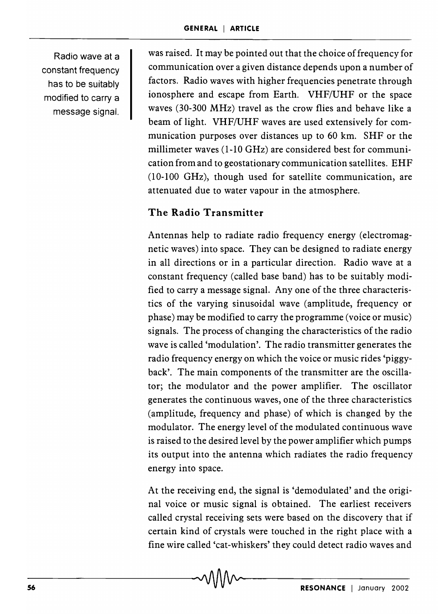Radio wave at a constant frequency has to be suitably modified to carry a message signal.

was raised. It may be pointed out that the choice of frequency for communication over a given distance depends upon a number of factors. Radio waves with higher frequencies penetrate through ionosphere and escape from Earth. VHF/UHF or the space waves (30-300 MHz) travel as the crow flies and behave like a beam of light. VHF/UHF waves are used extensively for communication purposes over distances up to 60 km. SHF or the millimeter waves (1-10 GHz) are considered best for communication from and to geostationary communication satellites. EHF (10-100 GHz), though used for satellite communication, are attenuated due to water vapour in the atmosphere.

## **The Radio Transmitter**

Antennas help to radiate radio frequency energy (electromagnetic waves) into space. They can be designed to radiate energy in all directions or in a particular direction. Radio wave at a constant frequency (called base band) has to be suitably modified to carry a message signal. Anyone of the three characteristics of the varying sinusoidal wave (amplitude, frequency or phase) may be modified to carry the programme (voice or music) signals. The process of changing the characteristics of the radio wave is called 'modulation'. The radio transmitter generates the radio frequency energy on which the voice or music rides 'piggyback'. The main components of the transmitter are the oscillator; the modulator and the power amplifier. The oscillator generates the continuous waves, one of the three characteristics (amplitude, frequency and phase) of which is changed by the modulator. The energy level of the modulated continuous wave is raised to the desired level by the power amplifier which pumps its output into the antenna which radiates the radio frequency energy into space.

At the receiving end, the signal is 'demodulated' and the original voice or music signal is obtained. The earliest receivers called crystal receiving sets were based on the discovery that if certain kind of crystals were touched in the right place with a fine wire called 'cat-whiskers' they could detect radio waves and

-56-------------------------------~-------------------------------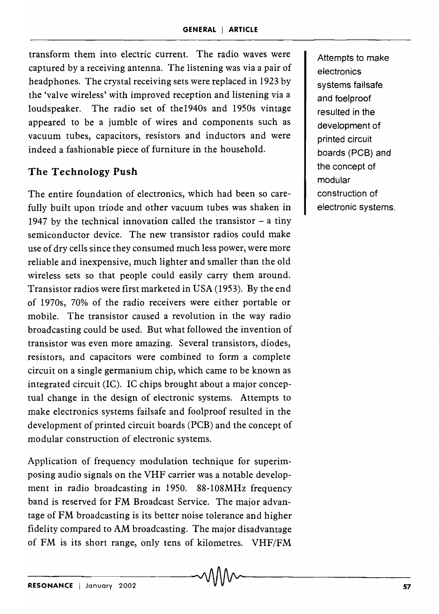transform them into electric current. The radio waves were captured by a receiving antenna. The listening was via a pair of headphones. The crystal receiving sets were replaced in 1923 by the 'valve wireless' with improved reception and listening via a loudspeaker. The radio set of the1940s and 1950s vintage appeared to be a jumble of wires and components such as vacuum tubes, capacitors, resistors and inductors and were indeed a fashionable piece of furniture in the household.

#### **The Technology Push**

The entire foundation of electronics, which had been so carefully built upon triode and other vacuum tubes was shaken in 1947 by the technical innovation called the transistor  $-$  a tiny semiconductor device. The new transistor radios could make use of dry cells since they consumed much less power, were more reliable and inexpensive, much lighter and smaller than the old wireless sets so that people could easily carry them around. Transistor radios were first marketed in USA (1953). By the end of 1970s) 70% of the radio receivers were either portable or mobile. The transistor caused a revolution in the way radio broadcasting could be used. But what followed the invention of transistor was even more amazing. Several transistors, diodes, resistors, and capacitors were combined to form a complete circuit on a single germanium chip, which came to be known as integrated circuit (IC). IC chips brought about a major conceptual change in the design of electronic systems. Attempts to make electronics systems failsafe and foolproof resulted in the development of printed circuit boards (PCB) and the concept of modular construction of electronic systems.

Application of frequency modulation technique for superimposing audio signals on the VHF carrier was a notable development in radio broadcasting in 1950. 88-108MHz frequency band is reserved for FM Broadcast Service. The major advantage of FM broadcasting is its better noise tolerance and higher fidelity compared to AM broadcasting. The major disadvantage of FM is its short range, only tens of kilometres.  $VHF/FM$ <br> $\sim$   $\sqrt{\frac{M}{M}}$ 

Attempts to make electronics systems failsafe and f001proof resulted in the development of printed circuit boards (PCB) and the concept of modular construction of electronic systems.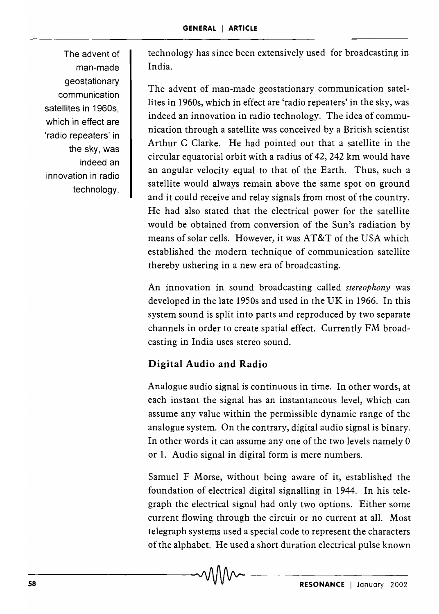The advent of man-made geostationary communication satellites in 1960s which in effect are 'radio repeaters' in the sky, was indeed an innovation in radio technology.

technology has since been extensively used for broadcasting in India.

The advent of man-made geostationary communication satellites in 1960s, which in effect are 'radio repeaters' in the sky, was indeed an innovation in radio technology. The idea of communication through a satellite was conceived by a British scientist Arthur C Clarke. He had pointed out that a satellite in the circular equatorial orbit with a radius of 42, 242 km would have an angular velocity equal to that of the Earth. Thus, such a satellite would always remain above the same spot on ground and it could receive and relay signals from most of the country. He had also stated that the electrical power for the satellite would be obtained from conversion of the Sun's radiation by means of solar cells. However, it was AT&T of the USA which established the modern technique of communication satellite thereby ushering in a new era of broadcasting.

An innovation in sound broadcasting called *stereophony* was developed in the late 1950s and used in the UK in 1966. In this system sound is split into parts and reproduced by two separate channels in order to create spatial effect. Currently FM broadcasting in India uses stereo sound.

# Digital Audio and Radio

Analogue audio signal is continuous in time. In other words, at each instant the signal has an instantaneous level, which can assume any value within the permissible dynamic range of the analogue system. On the contrary, digital audio signal is binary. In other words it can assume anyone of the two levels namely 0 or 1. Audio signal in digital form is mere numbers.

Samuel F Morse, without being aware of it, established the foundation of electrical digital signalling in 1944. In his telegraph the electrical signal had only two options. Either some current flowing through the circuit or no current at all. Most telegraph systems used a special code to represent the characters of the alphabet. He used a short duration electrical pulse known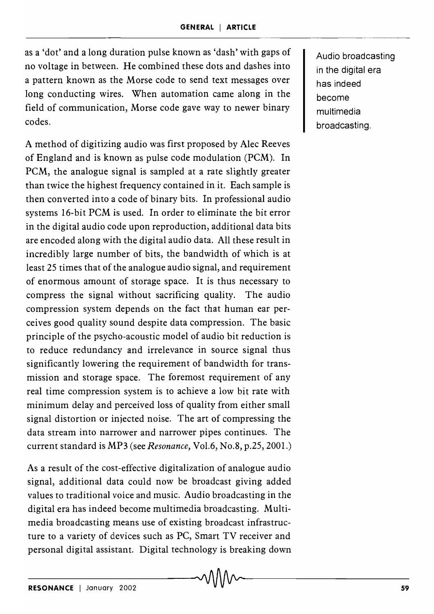as a 'dot' and a long duration pulse known as 'dash' with gaps of no voltage in between. He combined these dots and dashes into a pattern known as the Morse code to send text messages over long conducting wires. When automation came along in the field of communication, Morse code gave way to newer binary codes.

A method of digitizing audio was first proposed by Alec Reeves of England and is known as pulse code modulation (PCM). In PCM, the analogue signal is sampled at a rate slightly greater than twice the highest frequency contained in it. Each sample is then converted into a code of binary bits. In professional audio systems 16-bit PCM is used. In order to eliminate the bit error in the digital audio code upon reproduction, additional data bits are encoded along with the digital audio data. All these result in incredibly large number of bits, the bandwidth of which is at least 2S times that of the analogue audio signal, and requirement of enormous amount of storage space. It is thus necessary to compress the signal without sacrificing quality. The audio compression system depends on the fact that human ear perceives good quality sound despite data compression. The basic principle of the psycho-acoustic model of audio bit reduction is to reduce redundancy and irrelevance in source signal thus significantly lowering the requirement of bandwidth for transmission and storage space. The foremost requirement of any real time compression system is to achieve a low bit rate with minimum delay and perceived loss of quality from either small signal distortion or injected noise. The art of compressing the data stream into narrower and narrower pipes continues. The current standard is MP3 (see *Resonance,* Vo1.6, No.8, p.2S, 2001.)

As a result of the cost-effective digitalization of analogue audio signal, additional data could now be broadcast giving added values to traditional voice and music. Audio broadcasting in the digital era has indeed become multimedia broadcasting. Multimedia broadcasting means use of existing broadcast infrastructure to a variety of devices such as PC, Smart TV receiver and personal digital assistant. Digital technology is breaking down Audio broadcasting in the digital era has indeed become multimedia broadcasting.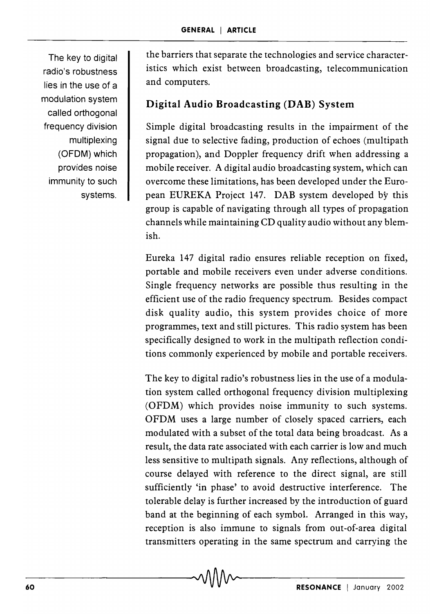The key to digital radio's robustness lies in the use of a modulation system called orthogonal frequency division multiplexing (OFDM) which provides noise immunity to such systems.

the barriers that separate the technologies and service characteristics which exist between broadcasting, telecommunication and computers.

## **Digital Audio Broadcasting (DAB) System**

Simple digital broadcasting results in the impairment of the signal due to selective fading, production of echoes (multipath propagation), and Doppler frequency drift when addressing a mobile receiver. A digital audio broadcasting system, which can overcome these limitations, has been developed under the European EUREKA Project 147. DAB system developed by this group is capable of navigating through all types of propagation channels while maintaining CD quality audio without any blemish.

Eureka 147 digital radio ensures reliable reception on fixed, portable and mobile receivers even under adverse conditions. Single frequency networks are possible thus resulting in the efficient use of the radio frequency spectrum. Besides compact disk quality audio, this system provides choice of more programmes, text and still pictures. This radio system has been specifically designed to work in the multipath reflection conditions commonly experienced by mobile and portable receivers.

The key to digital radio's robustness lies in the use of a modulation system called orthogonal frequency division multiplexing (OFDM) which provides noise immunity to such systems. OFDM uses a large number of closely spaced carriers, each modulated with a subset of the total data being broadcast. As a result, the data rate associated with each carrier is low and much less sensitive to multipath signals. Any reflections, although of course delayed with reference to the direct signal, are still sufficiently 'in phase' to avoid destructive interference. The tolerable delay is further increased by the introduction of guard band at the beginning of each symbol. Arranged in this way, reception is also immune to signals from out-of-area digital transmitters operating in the same spectrum and carrying the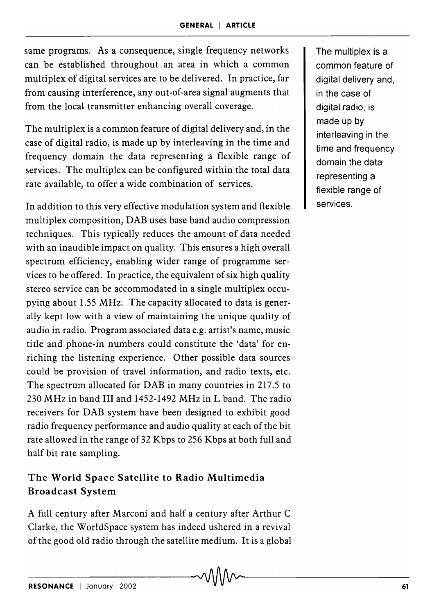same programs. As a consequence, single frequency networks can be established throughout an area in which a common multiplex of digital services are to be delivered. In practice, far from causing interference, any out-of-area signal augments that from the local transmitter enhancing overall coverage.

The multiplex is a common feature of digital delivery and, in the case of digital radio, is made up by interleaving in the time and frequency domain the data representing a flexible range of services. The multiplex can be configured within the total data rate available, to offer a wide combination of services.

In addition to this very effective modulation system and flexible multiplex composition, DAB uses base band audio compression techniques. This typically reduces the amount of data needed with an inaudible impact on quality. This ensures a high overall spectrum efficiency, enabling wider range of programme services to be offered. In practice, the equivalent of six high quality stereo service can be accommodated in a single multiplex occupying about 1.55 MHz. The capacity allocated to data is generally kept low with a view of maintaining the unique quality of audio in radio. Program associated data e.g. artist's name, music title and phone-in numbers could constitute the 'data' for enriching the listening experience. Other possible data sources could be provision of travel information, and radio texts, etc. The spectrum allocated for DAB in many countries in 217.5 to 230 MHz in band III and 1452-1492 MHz in L band. The radio receivers for DAB system have been designed to exhibit good radio frequency performance and audio quality at each of the bit rate allowed in the range of 32 Kbps to 256 Kbps at both full and half bit rate sampling.

# The World Space Satellite to Radio Multimedia Broadcast System

A full century after Marconi and half a century after Arthur C Clarke, the WorldSpace system has indeed ushered in a revival of the good old radio through the satellite medium. It is a global The multiplex is a common feature of digital delivery and, in the case of digital radio, is made up by interleaving in the time and frequency domain the data representing a flexible range of services.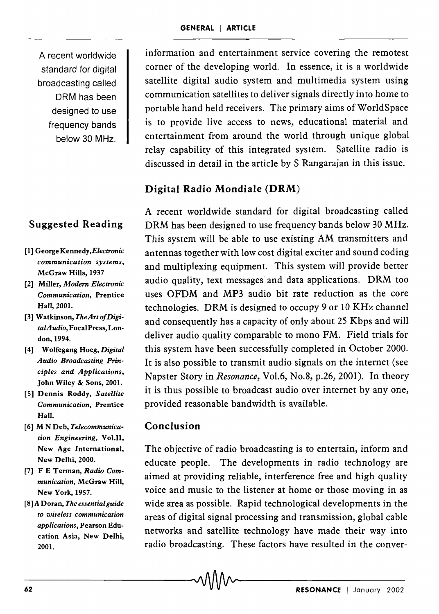A recent worldwide standard for digital broadcasting called DRM has been designed to use frequency bands below 30 MHz.

# Suggested Reading

- [1] George *Kennedy,Electronic communication systems,*  McGraw Hills, 1937
- [2] Miller, *Modern Electronic Communication,* Prentice Hall, 2001.
- [3] Watkinson, *TheArtofDigitalAudio,* Focal Press, London, 1994.
- [4] Wolfegang Hoeg, *Digital Audio Broadcasting Principles and Applications,*  John Wiley & Sons, 2001.
- [5] Dennis Roddy, *Satellite Communication,* Prentice Hall.
- [6J M N Deb, *Telecommunication Engineering,* Vo1.I1, New Age International, New Delhi, 2000.
- [7J FE Terman, *Radio Communication,* McGraw Hill, New York, 1957.
- [8] A Doran, *The essential guide to wireless communication applications,* Pearson Education Asia, New Delhi, 2001.

information and entertainment service covering the remotest corner of the developing world. In essence, it is a worldwide satellite digital audio system and multimedia system using communication satellites to deliver signals directly into home to portable hand held receivers. The primary aims of WorldSpace is to provide live access to news, educational material and entertainment from around the world through unique global relay capability of this integrated system. Satellite radio is discussed in detail in the article by S Rangarajan in this issue.

#### Digital Radio Mondiale (DRM)

A recent worldwide standard for digital broadcasting called DRM has been designed to use frequency bands below 30 MHz. This system will be able to use existing AM transmitters and antennas together with low cost digital exciter and sound coding and multiplexing equipment. This system will provide better audio quality, text messages and data applications. DRM too uses OFDM and MP3 audio bit rate reduction as the core technologies. DRM is designed to occupy 9 or 10KHz channel and consequently has a capacity of only about 25 Kbps and will deliver audio quality comparable to mono FM. Field trials for this system have been successfully completed in October 2000. It is also possible to transmit audio signals on the internet (see Napster Story in *Resonance,* Vo1.6, No.8, p.26, 2001). In theory it is thus possible to broadcast audio over internet by anyone, provided reasonable bandwidth is available.

#### Conclusion

The objective of radio broadcasting is to entertain, inform and educate people. The developments in radio technology are aimed at providing reliable, interference free and high quality voice and music to the listener at home or those moving in as wide area as possible. Rapid technological developments in the areas of digital signal processing and transmission, global cable networks and satellite technology have made their way into radio broadcasting. These factors have resulted in the conver